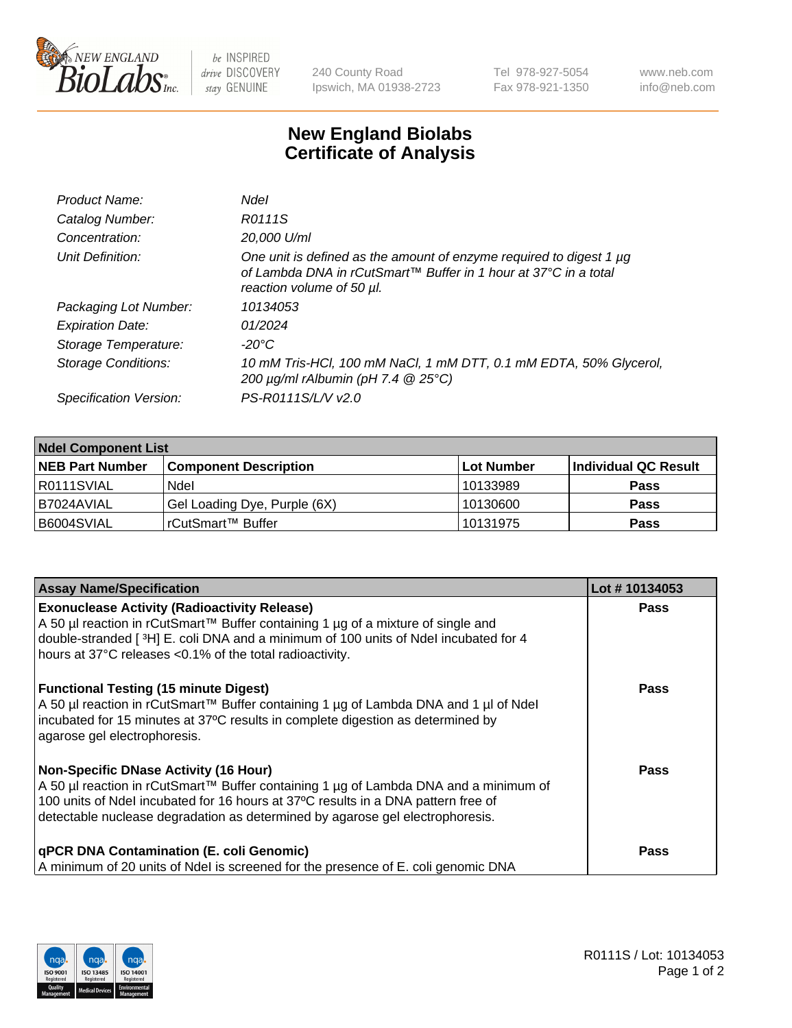

 $be$  INSPIRED drive DISCOVERY stay GENUINE

240 County Road Ipswich, MA 01938-2723 Tel 978-927-5054 Fax 978-921-1350 www.neb.com info@neb.com

## **New England Biolabs Certificate of Analysis**

| Ndel                                                                                                                                                                |
|---------------------------------------------------------------------------------------------------------------------------------------------------------------------|
| R0111S                                                                                                                                                              |
| 20,000 U/ml                                                                                                                                                         |
| One unit is defined as the amount of enzyme required to digest 1 µg<br>of Lambda DNA in rCutSmart™ Buffer in 1 hour at 37°C in a total<br>reaction volume of 50 µl. |
| 10134053                                                                                                                                                            |
| 01/2024                                                                                                                                                             |
| -20°C                                                                                                                                                               |
| 10 mM Tris-HCl, 100 mM NaCl, 1 mM DTT, 0.1 mM EDTA, 50% Glycerol,<br>200 $\mu$ g/ml rAlbumin (pH 7.4 $@$ 25°C)                                                      |
| PS-R0111S/L/V v2.0                                                                                                                                                  |
|                                                                                                                                                                     |

| <b>Ndel Component List</b> |                              |                   |                      |  |  |
|----------------------------|------------------------------|-------------------|----------------------|--|--|
| <b>NEB Part Number</b>     | <b>Component Description</b> | <b>Lot Number</b> | Individual QC Result |  |  |
| I R0111SVIAL               | Ndel                         | 10133989          | <b>Pass</b>          |  |  |
| I B7024AVIAL               | Gel Loading Dye, Purple (6X) | 10130600          | <b>Pass</b>          |  |  |
| B6004SVIAL                 | rCutSmart™ Buffer            | 10131975          | <b>Pass</b>          |  |  |

| <b>Assay Name/Specification</b>                                                                                                                                                                                                                                                                            | Lot #10134053 |
|------------------------------------------------------------------------------------------------------------------------------------------------------------------------------------------------------------------------------------------------------------------------------------------------------------|---------------|
| <b>Exonuclease Activity (Radioactivity Release)</b><br>A 50 µl reaction in rCutSmart™ Buffer containing 1 µg of a mixture of single and<br>double-stranded [3H] E. coli DNA and a minimum of 100 units of Ndel incubated for 4<br>hours at 37°C releases <0.1% of the total radioactivity.                 | Pass          |
| <b>Functional Testing (15 minute Digest)</b><br>A 50 µl reaction in rCutSmart™ Buffer containing 1 µg of Lambda DNA and 1 µl of Ndel<br>incubated for 15 minutes at 37°C results in complete digestion as determined by<br>agarose gel electrophoresis.                                                    | Pass          |
| <b>Non-Specific DNase Activity (16 Hour)</b><br>A 50 µl reaction in rCutSmart™ Buffer containing 1 µg of Lambda DNA and a minimum of<br>100 units of Ndel incubated for 16 hours at 37°C results in a DNA pattern free of<br>detectable nuclease degradation as determined by agarose gel electrophoresis. | Pass          |
| qPCR DNA Contamination (E. coli Genomic)<br>A minimum of 20 units of Ndel is screened for the presence of E. coli genomic DNA                                                                                                                                                                              | Pass          |